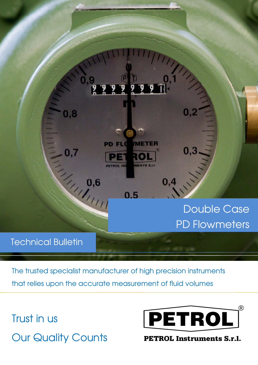

The trusted specialist manufacturer of high precision instruments that relies upon the accurate measurement of fluid volumes

Trust in us **Our Quality Counts** 



PETROL Instruments S.r.l.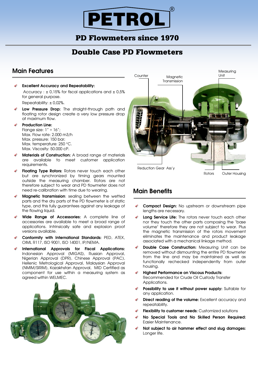## PD Flowmeters since 1970

# Double Case PD Flowmeters

### **Main Features**

ı

- **Excellent Accuracy and Repeatability:** Accuracy :  $\pm$  0,15% for fiscal applications and  $\pm$  0,5% for general purpose. Repeatability: ± 0,02%.
- **Low Pressure Drop:** The straight-through path and floating rotor design create a very low pressure drop at maximum flow.
- **Production Line:**

Flange size:  $1'' \div 16''$ ; Max. Flow rate: 2.000 m3/h Max. pressure: 150 bar; Max. temperature: 250 °C. Max. Viscosity: 50.000 cP.

- **Materials of Construction:** A broad range of materials are available to meet customer application requirements.
- **Floating Type Rotors:** Rotors never touch each other but are synchronized by timing gears mounted outside the measuring chamber. Rotors are not therefore subject to wear and PD flowmeter does not need re-calibration with time due to wearing.
- **Magnetic transmission**: sealing between the wetted parts and the dry parts of the PD flowmeter is of static type, and this fully guarantees against any leakage of the flowing liquid.
- **Wide Range of Accessories:** A complete line of accessories are available to meet a broad range of applications. Intrinsically safe and explosion proof versions available.
- **Conformity with International Standards:** PED, ATEX, OIML R117, ISO 9001, ISO 14001, IP/NEMA.
- **International Approvals for Fiscal Applications:** Indonesian Approval (MIGAS), Russian Approval, Nigerian Approval (DPR), Chinese Approval (PAC), Hellenic Metrological Approval, Malaysian Approval (NMIM/SIRIM), Kazakhstan Approval, MID Certified as component for use within a measuring system as agreed within WELMEC.





### **Main Benefits**

j

- **Compact Design:** No upstream or downstream pipe lengths are necessary.
- **Long Service Life:** The rotors never touch each other nor they touch the other parts composing the "base volume" therefore they are not subject to wear. Plus the magnetic transmission of the rotors movement eliminates the maintenance and product leakage associated with a mechanical linkage method.
- **Double Case Construction:** Measuring Unit can be removed without dismounting the entire PD flowmeter from the line and may be maintained as well as functionally rechecked independently from outer housing.
- **Highest Performance on Viscous Products:** Recommended for Crude Oil Custody Transfer Applications.
- **Possibility to use it without power supply:** Suitable for any application.
- **Direct reading of the volume:** Excellent accuracy and repeatability.
- **Flexibility to customer needs:** Customized solutions
- **No Special Tools and No Skilled Person Required:** Easier Maintenance.
- ✓ **Not subject to air hammer effect and slug damages:**  Longer life.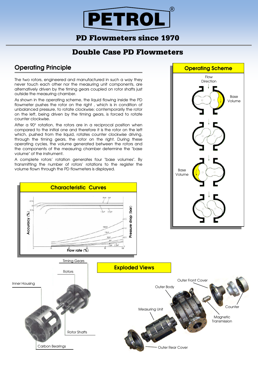## PD Flowmeters since 1970

# Double Case PD Flowmeters

### **Operating Principle**

**Accuracy (%)**

Accuracy (%)

The two rotors, engineered and manufactured in such a way they never touch each other nor the measuring unit components, are alternatively driven by the timing gears coupled on rotor shafts just outside the measuring chamber.

As shown in the operating scheme, the liquid flowing inside the PD flowmeter pushes the rotor on the right , which is in condition of unbalanced pressure, to rotate clockwise; contemporarily the rotor on the left, being driven by the timing gears, is forced to rotate counter clockwise.

After a 90° rotation, the rotors are in a reciprocal position when compared to the initial one and therefore it is the rotor on the left which, pushed from the liquid, rotates counter clockwise driving, through the timing gears, the rotor on the right. During these operating cycles, the volume generated between the rotors and the components of the measuring chamber determine the "base volume" of the instrument.

A complete rotors' rotation generates four "base volumes". By transmitting the number of rotors' rotations to the register the volume flown through the PD flowmeters is displayed.

**Characteristic Curves** 

**Flow rate (%)**





**Pressure drop (bar)**

ennsse

drop (bar)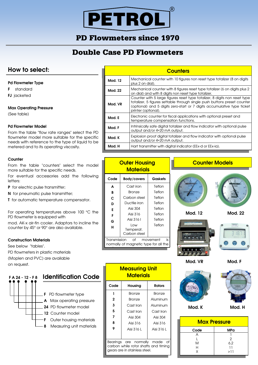PD Flowmeters since 1970

# Double Case PD Flowmeters

### **How to select:**

#### **Pd Flowmeter Type**

- **F** standard
- **FJ jacketed**

#### **Max Operating Pressure**

(See table)

#### **Pd Flowmeter Model**

From the table "flow rate ranges" select the PD flowmeter model more suitable for the specific needs with reference to the type of liquid to be metered and to its operating viscosity.

#### **Counter**

From the table "counters" select the model more suitable for the specific needs.

For eventual accessories add the following letters:

**P** for electric pulse transmitter;

**N** for pneumatic pulse transmitter;

**T** for automatic temperature compensator.

For operating temperatures above 100 °C the PD flowmeter is equipped with

mod. AK-x air-fin cooler. Adaptors to incline the counter by 45° or 90° are also available.

#### **Construction Materials**

See below "tables".

PD flowmeters in plastic materials (Moplen and PVC) are available on request.

| FA 24 - 12 - F8 | <b>Identification Code</b>                             |  |  |  |  |  |
|-----------------|--------------------------------------------------------|--|--|--|--|--|
|                 | <b>F</b> PD flowmeter type<br>A Max operating pressure |  |  |  |  |  |
|                 | 24 PD flowmeter model<br>12 Counter model              |  |  |  |  |  |
|                 | Outer housing materials<br>Measuring unit materials    |  |  |  |  |  |

| <b>Counters</b> |                                                                                                                                                                                                                                                          |  |  |  |  |  |  |
|-----------------|----------------------------------------------------------------------------------------------------------------------------------------------------------------------------------------------------------------------------------------------------------|--|--|--|--|--|--|
| <b>Mod. 12</b>  | Mechanical counter with 10 figures non reset type totalizer (8 on digits<br>plus 2 on dial).                                                                                                                                                             |  |  |  |  |  |  |
| Mod. 22         | Mechanical counter with 8 figures reset type totalizer (6 on digits plus 2<br>on dial) and with 8 digits non reset type totalizer.                                                                                                                       |  |  |  |  |  |  |
| Mod. VR         | Counter with 5 large figures reset type totalizer, 8 digits non reset type<br>totalizer, 5 figures settable through single push buttons preset counter<br>(optional) and 5 digits zero-start or 7 digits accumulative type ticket<br>printer (optional). |  |  |  |  |  |  |
| Mod. E          | Electronic counter for fiscal applications with optional preset and<br>temperature compensation functions.                                                                                                                                               |  |  |  |  |  |  |
| Mod. F          | Intrinsically safe digital totalizer and flow indicator with optional pulse<br>output and/or 4÷20 mA output.                                                                                                                                             |  |  |  |  |  |  |
| Mod. K          | Explosion proof digital totalizer and flow indicator with optional pulse<br>output and/or 4÷20 mA output.                                                                                                                                                |  |  |  |  |  |  |
| Mod. H          | Hart transmitter with digital indicator (EEx-d or EEx-ia).                                                                                                                                                                                               |  |  |  |  |  |  |

| <b>Materials</b>                                                               |                                  |                            |  |  |  |  |
|--------------------------------------------------------------------------------|----------------------------------|----------------------------|--|--|--|--|
| Code                                                                           | <b>Body/covers</b>               | Gaskets                    |  |  |  |  |
| A                                                                              | Cast iron                        | Teflon                     |  |  |  |  |
| B                                                                              | Bronze                           | Teflon                     |  |  |  |  |
| c                                                                              | Carbon steel                     | Teflon                     |  |  |  |  |
| D                                                                              | Ductile iron                     | Teflon                     |  |  |  |  |
| Е                                                                              | Aisi 304                         | Teflon<br>Teflon<br>Teflon |  |  |  |  |
| F                                                                              | Aisi 316                         |                            |  |  |  |  |
| G                                                                              | Aisi 316 I                       |                            |  |  |  |  |
| н                                                                              | Low<br>Temperat.<br>Carbon steel | Teflon                     |  |  |  |  |
| Transmission<br>movement<br>of<br>is.<br>normally of magnetic type for all the |                                  |                            |  |  |  |  |

codes.

**Outer Housing**

**Mod. 12 Mod. 22**  $n n n n 0$  $\begin{array}{ccc} & \mathbf{0} & \mathbf{0} & \mathbf{0} \end{array}$ 



 $\bullet \bullet \bullet$ 

**Mod. VR Mod. F**



**Counter Models** 

| <b>Max Pressure</b> |     |  |  |  |  |
|---------------------|-----|--|--|--|--|
| Code                | MPa |  |  |  |  |
|                     |     |  |  |  |  |
|                     | 2   |  |  |  |  |
| M                   | 6,2 |  |  |  |  |
| н                   | 11  |  |  |  |  |
| v                   | >11 |  |  |  |  |

| <u>Measuring Unit</u><br><b>Materials</b>                                                              |            |            |  |  |  |  |
|--------------------------------------------------------------------------------------------------------|------------|------------|--|--|--|--|
| Code                                                                                                   | Housing    | Rotors     |  |  |  |  |
| 1                                                                                                      | Bronze     | Bronze     |  |  |  |  |
| 2                                                                                                      | Bronze     | Aluminum   |  |  |  |  |
| 3                                                                                                      | Cast Iron  | Aluminum   |  |  |  |  |
| 5                                                                                                      | Cast Iron  | Cast Iron  |  |  |  |  |
| 7                                                                                                      | Aisi 304   | Aisi 304   |  |  |  |  |
| 8                                                                                                      | Aisi 316   | Aisi 316   |  |  |  |  |
| 9                                                                                                      | Aisi 316 L | Aisi 316 L |  |  |  |  |
|                                                                                                        |            |            |  |  |  |  |
| Bearings are normally made of<br>carbon while rotor shafts and timing<br>aears are in stainless steel. |            |            |  |  |  |  |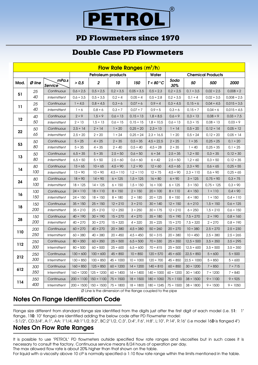# PD Flowmeters since 1970

# Double Case PD Flowmeters

| Flow Rate Ranges (m <sup>3</sup> /h) |            |                         |                    |                         |                |                 |                 |                          |                  |                 |                  |
|--------------------------------------|------------|-------------------------|--------------------|-------------------------|----------------|-----------------|-----------------|--------------------------|------------------|-----------------|------------------|
|                                      |            |                         | Petroleum products |                         |                |                 | Water           | <b>Chemical Products</b> |                  |                 |                  |
| Mod.                                 | $Ø$ line   | mPa.s<br><b>Service</b> | > 0,5              | $\overline{\mathbf{c}}$ | 10             | 150             | T < 80 °C       | Soda<br>30%              | 50               | 500             | 2000             |
|                                      | 25         | Continuous              | $0,6 \div 2,5$     | $0.5 \div 2.5$          | $0.2 \div 3.5$ | $0,05 \div 3,5$ | $0.5 \div 2.3$  | $0.2 \div 2.5$           | $0,1 \div 3,5$   | $0,02 \div 2,5$ | $0,008 \div 2$   |
| 51                                   | 40         | Intermittent            | $0,6 \div 3,5$     | $0.5 \div 3.5$          | $0.2 \div 4$   | $0.05 \div 4$   | $0.5 \div 2.8$  | $0.2 \div 3.5$           | $0,1 \div 4$     | $0.02 \div 3.5$ | $0,008 \div 2,5$ |
|                                      | 25         | Continuous              | $1 \div 4.5$       | $0,8 \div 4,5$          | $0,3 \div 6$   | $0,07 \div 6$   | $0.9 \div 4$    | $0,3 \div 4,5$           | $0,15 \div 6$    | $0,04 \div 4,5$ | $0,015 \div 3,5$ |
| 11                                   | 40         | Intermittent            | 1 ÷ 6              | $0,8 \div 6$            | $0.3 \div 7$   | 0.07 ÷ 7        | $0.9 \div 5$    | $0,3 + 6$                | $0,15 \div 7$    | $0,04 \div 6$   | $0,015 \div 4,5$ |
|                                      | 40         | Continuous              | 2 ÷ 9              | $1,5 \div 9$            | $0.6 \div 13$  | $0,15 \div 13$  | $1,8 \div 8,5$  | $0,6 \div 9$             | $0.3 \div 13$    | 0,08 ÷ 9        | $0,03 \div 7,5$  |
| $12 \,$                              | 50         | Intermittent            | $2 \div 13$        | $1,5 \div 13$           | $0.6 \div 15$  | $0.15 \div 15$  | $1,8 \div 10,5$ | $0.6 \div 13$            | $0.3 \div 15$    | $0,08 \div 13$  | 0,03 ÷ 9         |
|                                      | 50         | Continuous              | $2,5 \div 14$      | $2 \div 14$             | $1 \div 20$    | $0,25 \div 20$  | $2,3 \div 13$   | $1 \div 14$              | $0.5 \div 20$    | $0,12 \div 14$  | $0,05 \div 12$   |
| 22                                   | 65         | Intermittent            | $2,5 \div 20$      | $2 \div 20$             | $1 \div 24$    | $0,25 \div 24$  | $2,3 \div 16,5$ | 1 ÷ 20                   | $0.5 \div 24$    | $0,12 \div 20$  | $0,05 \div 14$   |
|                                      | 50         | Continuous              | $5 \div 25$        | $4 \div 25$             | 2 ÷ 35         | $0.5 \div 35$   | $4,5 \div 22,5$ | $2 \div 25$              | 1 ÷ 35           | $0,25 \div 25$  | $0,1 \div 20$    |
| 53                                   | 80         | Intermittent            | 5 ÷ 35             | $4 \div 35$             | 2 ÷ 40         | $0.5 \div 40$   | $4,5 \div 28$   | 2 ÷ 35                   | 1 ÷ 40           | $0,25 \div 35$  | $0,1 \div 25$    |
|                                      | 50         | Continuous              | $6,5 \div 35$      | 5 ÷ 35                  | $2,5 \div 50$  | $0,6 \div 50$   | 6 ÷ 34          | $2,5 \div 35$            | $1,2 \div 50$    | $0,3 \div 35$   | $0,12 \div 30$   |
| 13                                   | 80         | Intermittent            | $6,5 \div 50$      | 5 ÷ 50                  | $2.5 \div 60$  | $0.6 \div 60$   | 6 ÷ 42          | $2.5 \div 50$            | $1.2 \div 60$    | 0.3 ÷ 50        | $0,12 \div 35$   |
|                                      | 80         | Continuous              | $13 \div 65$       | $10 \div 65$            | $4,5 \div 90$  | $1,2 \div 90$   | $12 \div 60$    | $4,5 \div 65$            | $2,3 \div 90$    | $0,6 \div 65$   | $0,25 \div 55$   |
| 14                                   | 100        | Intermittent            | 13 ÷ 90            | 10 ÷ 90                 | $4.5 \div 110$ | $1,2 \div 110$  | $12 \div 75$    | $4,5 \div 90$            | $2,3 \div 110$   | 0,6 ÷ 90        | $0,25 \div 65$   |
| 24                                   | 80         | Continuous              | $18 \div 90$       | $14 \div 90$            | $6 \div 125$   | $1,5 \div 125$  | 16 ÷ 80         | 6 ÷ 90                   | $3 \div 125$     | $0.75 \div 90$  | $0,3 \div 75$    |
|                                      | 100        | Intermittent            | $18 \div 125$      | $14 \div 125$           | 6 ÷ 150        | $1,5 \div 150$  | 16 ÷ 100        | 6 ÷ 125                  | 3 ÷ 150          | $0,75 \div 125$ | $0,3 + 90$       |
| 16                                   | 100<br>150 | Continuous              | $24 \div 110$      | $18 \div 110$           | $8 \div 150$   | $2 \div 150$    | $20 \div 100$   | $8 \div 110$             | $4 \div 150$     | $1 \div 110$    | $0.4 \div 90$    |
|                                      |            | Intermittent            | $24 \div 150$      | $18 \div 150$           | $8 \div 180$   | $2 \div 180$    | $20 \div 125$   | 8 ÷ 150                  | $4 \div 180$     | 1 ÷ 150         | $0.4 \div 110$   |
|                                      | 150        | Continuous              | $35 \div 150$      | $25 \div 150$           | $12 \div 210$  | 3 ÷ 210         | $30 \div 140$   | $12 \div 150$            | 6 ÷ 210          | $1,5 \div 150$  | $0.6 \div 125$   |
| 18                                   | <i>200</i> | Intermittent            | $35 \div 210$      | $25 \div 210$           | $12 \div 250$  | 3 ÷ 250         | $30 \div 175$   | $12 \div 210$            | 6 ÷ 250          | $1,5 \div 210$  | $0.6 \div 150$   |
|                                      | 150        | Continuous              | $40 \div 190$      | $30 \div 190$           | $15 \div 270$  | $4 \div 270$    | $35 \div 180$   | $15 \div 190$            | $7.5 \div 270$   | $2 \div 190$    | $0.8 \div 160$   |
| 28                                   | 200        | Intermittent            | $40 \div 270$      | 30 ÷ 270                | $15 \div 320$  | $4 \div 320$    | 35 ÷ 225        | 15 ÷ 270                 | $7.5 \div 320$   | $2 \div 270$    | $0.8 \div 190$   |
|                                      | 200        | Continuous              | $60 \div 270$      | $40 \div 270$           | $20 \div 380$  | $4,5 \div 380$  | $50 \div 260$   | $20 \div 270$            | $10 \div 380$    | $2,5 \div 270$  | $2,5 \div 230$   |
| 110                                  | 250        | Intermittent            | 60 ÷ 380           | $40 \div 380$           | $20 \div 450$  | $4,5 \div 450$  | $50 \div 315$   | $20 \div 380$            | 10 ÷ 450         | $2,5 \div 380$  | $2,5 \div 265$   |
|                                      | 250        | Continuous              | $80 \div 350$      | 60 ÷ 350                | $25 \div 500$  | $6,5 \div 500$  | 70 ÷ 330        | 25 ÷ 350                 | $12,5 \div 500$  | $3,5 \div 350$  | $3,5 \div 295$   |
| 112                                  | 300        | Intermittent            | 80 ÷ 500           | 60 ÷ 500                | 25 ÷ 600       | $6,5 \div 600$  | $70 \div 415$   | 25 ÷ 500                 | $12,5 \div 600$  | $3,5 \div 500$  | $3,5 \div 350$   |
|                                      | 250        | Continuous              | $130 \div 600$     | $100 \div 600$          | $45 \div 850$  | 10 ÷ 850        | $120 \div 570$  | $45 \div 600$            | $22,5 \div 850$  | 5 ÷ 600         | 5 ÷ 500          |
| 212                                  | 300        | Intermittent            | $130 \div 850$     | $100 \div 850$          | $45 \div 1000$ | $10 \div 1000$  | $120 \div 700$  | $45 \div 850$            | $22,5 \div 1000$ | 5 ÷ 850         | 5 ÷ 600          |
|                                      | 300        | Continuous              | $160 \div 850$     | $125 \div 850$          | $60 \div 1200$ | $14 \div 1200$  | $140 \div 810$  | $60 \div 850$            | $30 \div 1200$   | 7 ÷ 850         | 7 ÷ 715          |
| 612                                  | 350        | Intermittent            | $160 \div 1200$    | $125 \div 1200$         | $60 \div 1400$ | $14 \div 1400$  | $140 \div 1000$ | $60 \div 1200$           | $30 \div 1400$   | 7 ÷ 1200        | 7 ÷ 840          |
| 114                                  | 350        | Continuous              | $200 \div 1100$    | $150 \div 1100$         | $75 \div 1500$ | $18 \div 1500$  | $180 \div 1050$ | $75 \div 1100$           | $38 \div 1500$   | $9 \div 1100$   | 9 ÷ 925          |
|                                      | 400        | Intermittent            |                    | 200 ÷ 1500   150 ÷ 1500 | $75 \div 1800$ | $18 \div 1800$  | $180 \div 1245$ | $75 \div 1500$           | $38 \div 1800$   | 9 ÷ 1500        | 9 ÷ 1050         |

Ø Line Is the dimension of the flange coupled to the pipe

### **Notes On Flange Identification Code**

Flange size different from standard flange size identified from the digits just after the first digit of each model (i.e. 5**1**: 1" flange, 1**10**: 10" flange) are identified adding the below code after PD Flowmeter model:

- S:1/2", CD:3/4", A:1", AA: 1"1/4, AB:1"1/2, B:2", BC:2"1/2, C:3", D:4", F:6", H:8", L:10", P:14", R:16" (i.e model 16**D** is flanged 4")

### **Notes On Flow Rate Ranges**

It is possible to use "PETROL" PD flowmeters outside specified flow rate ranges and viscosities but in such cases it is necessary to consult the factory. Continuous service means 8/24 hours of operation per day. The max allowed flow rate is about 20% higher than that shown on the table.

For liquid with a viscosity above 10 cP is normally specified a 1:10 flow rate range within the limits mentioned in the table.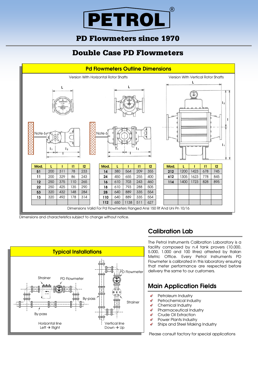

## PD Flowmeters since 1970

# Double Case PD Flowmeters



Dimensions and characteristics subject to change without notice.



### **Calibration Lab**

The Petrol Instruments Calibration Laboratory is a facility composed by n.4 tank provers (10.000, 5.000, 1.000 and 100 litres) attested by Italian Metric Office. Every Petrol Instruments PD Flowmeter is calibrated in this laboratory ensuring that meter performance are respected before delivery the same to our customers.

### **Main Application Fields**

- Petroleum Industry
- Petrochemical Industry
- Chemical Industry
- Pharmaceutical Industry
- Crude Oil Extraction
- Power Plants Industry  $\overline{\mathscr{L}}$
- Ł Ships and Steel Making Industry

Please consult factory for special applications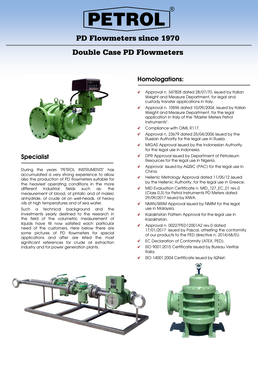## PD Flowmeters since 1970

## Double Case PD Flowmeters



### **Specialist**

During the years "PETROL INSTRUMENTS" has accumulated a very strong experience to allow also the production of PD flowmeters suitable for the heaviest operating conditions in the more different industrial fields such as: the measurement of blood, of phtalic and of maleic anhydride, of crude oil on well-heads, of heavy oils at high temperatures and of sea water.

Such a technical background and the investments yearly destined to the research in the field of the volumetric measurement of liquids have till now satisfied each particular need of the customers. Here below there are some pictures of PD flowmeters for special applications and after are listed the most significant references for crude oil extraction industry and for power generation plants.

### **Homologations:**

- Approval n. 347828 dated 28/07/70, issued by Italian Weight and Measure Department, for legal and custody transfer applications in Italy.
- Approval n. 10596 dated 10/09/2004, issued by Italian Weight and Measure Department, for the legal application in Italy of the "Master Meters Petrol Instruments".
- Compliance with OIML R117.
- Approval n. 23679 dated 25/04/2006 issued by the Russian Authority for the legal use in Russia.
- MIGAS Approval issued by the Indonesian Authority for the legal use in Indonesia.
- DPR Approval issued by Department of Petroleum Resources for the legal use in Nigeria.
- Approval issued by AQSIC (PAC) for the legal use in China.
- Hellenic Metrology Approval dated 11/05/12 issued by the Hellenic Authority, for the legal use in Greece.
- MID Evaluation Certificate n. MID\_127\_EC\_01 rev.0 (Class 0,3) for Petrol Instruments PD Meters dated 29/09/2017 issued by KIWA.
- NMIN/SIRIM Approval issued by NMIM for the legal use in Malaysia.
- Kazakhstan Pattern Approval for the legal use in Kazakhstan.
- Approval n. 00227PED12001A2 rev.0 dated 17/01/2017 issued by Pascal, attesting the conformity of our products to the PED directive n. 2014/68/EU.
- EC Declaration of Conformity (ATEX, PED).
- ISO 9001:2015 Certificate issued by Bureau Veritas Italia.
- ISO 14001:2004 Certificate issued by IQNet.